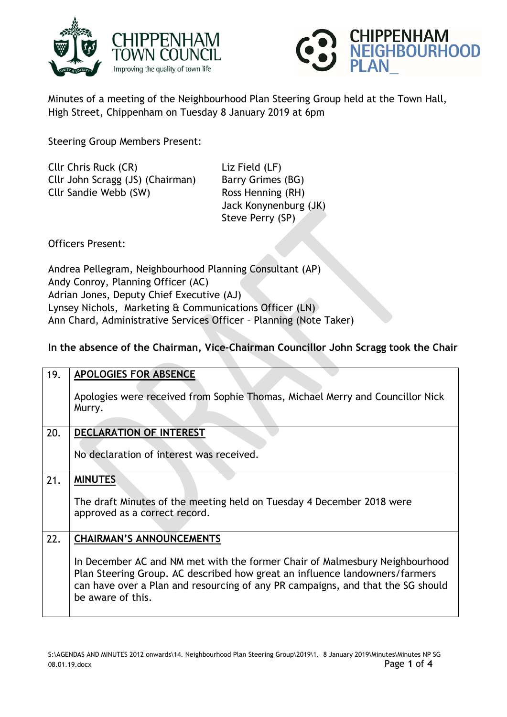



Minutes of a meeting of the Neighbourhood Plan Steering Group held at the Town Hall, High Street, Chippenham on Tuesday 8 January 2019 at 6pm

Steering Group Members Present:

| Cllr Chris Ruck (CR)             | Liz I |
|----------------------------------|-------|
| Cllr John Scragg (JS) (Chairman) | Barr  |
| Cllr Sandie Webb (SW)            | Ros:  |
|                                  | اعدا  |

Field (LF) ry Grimes (BG) S Henning (RH) Jack Konynenburg (JK) Steve Perry (SP)

Officers Present:

Andrea Pellegram, Neighbourhood Planning Consultant (AP) Andy Conroy, Planning Officer (AC) Adrian Jones, Deputy Chief Executive (AJ) Lynsey Nichols, Marketing & Communications Officer (LN) Ann Chard, Administrative Services Officer – Planning (Note Taker)

**In the absence of the Chairman, Vice-Chairman Councillor John Scragg took the Chair**

| 19. | <b>APOLOGIES FOR ABSENCE</b>                                                                                                                                                                                                                                       |
|-----|--------------------------------------------------------------------------------------------------------------------------------------------------------------------------------------------------------------------------------------------------------------------|
|     | Apologies were received from Sophie Thomas, Michael Merry and Councillor Nick<br>Murry.                                                                                                                                                                            |
| 20. | <b>DECLARATION OF INTEREST</b>                                                                                                                                                                                                                                     |
|     | No declaration of interest was received.                                                                                                                                                                                                                           |
| 21. | <b>MINUTES</b>                                                                                                                                                                                                                                                     |
|     | The draft Minutes of the meeting held on Tuesday 4 December 2018 were<br>approved as a correct record.                                                                                                                                                             |
| 22. | <b>CHAIRMAN'S ANNOUNCEMENTS</b>                                                                                                                                                                                                                                    |
|     | In December AC and NM met with the former Chair of Malmesbury Neighbourhood<br>Plan Steering Group. AC described how great an influence landowners/farmers<br>can have over a Plan and resourcing of any PR campaigns, and that the SG should<br>be aware of this. |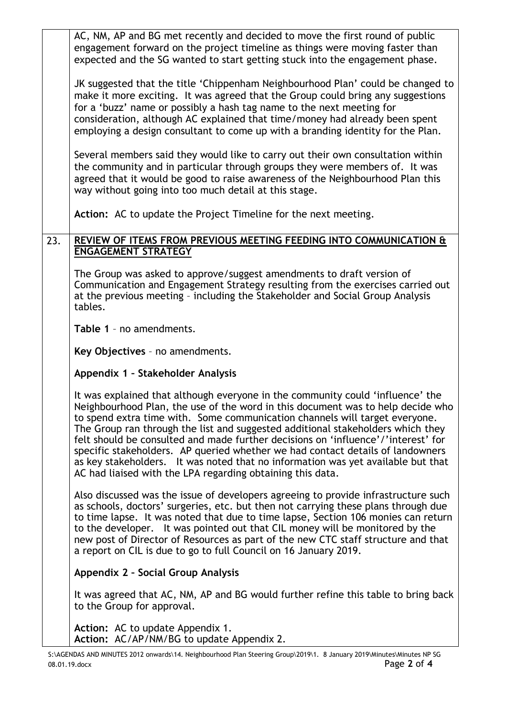|     | AC, NM, AP and BG met recently and decided to move the first round of public<br>engagement forward on the project timeline as things were moving faster than<br>expected and the SG wanted to start getting stuck into the engagement phase.                                                                                                                                                                                                                                                                                                                                                                                                                 |
|-----|--------------------------------------------------------------------------------------------------------------------------------------------------------------------------------------------------------------------------------------------------------------------------------------------------------------------------------------------------------------------------------------------------------------------------------------------------------------------------------------------------------------------------------------------------------------------------------------------------------------------------------------------------------------|
|     | JK suggested that the title 'Chippenham Neighbourhood Plan' could be changed to<br>make it more exciting. It was agreed that the Group could bring any suggestions<br>for a 'buzz' name or possibly a hash tag name to the next meeting for<br>consideration, although AC explained that time/money had already been spent<br>employing a design consultant to come up with a branding identity for the Plan.                                                                                                                                                                                                                                                |
|     | Several members said they would like to carry out their own consultation within<br>the community and in particular through groups they were members of. It was<br>agreed that it would be good to raise awareness of the Neighbourhood Plan this<br>way without going into too much detail at this stage.                                                                                                                                                                                                                                                                                                                                                    |
|     | Action: AC to update the Project Timeline for the next meeting.                                                                                                                                                                                                                                                                                                                                                                                                                                                                                                                                                                                              |
| 23. | REVIEW OF ITEMS FROM PREVIOUS MEETING FEEDING INTO COMMUNICATION &<br><b>ENGAGEMENT STRATEGY</b>                                                                                                                                                                                                                                                                                                                                                                                                                                                                                                                                                             |
|     | The Group was asked to approve/suggest amendments to draft version of<br>Communication and Engagement Strategy resulting from the exercises carried out<br>at the previous meeting - including the Stakeholder and Social Group Analysis<br>tables.                                                                                                                                                                                                                                                                                                                                                                                                          |
|     | Table 1 - no amendments.                                                                                                                                                                                                                                                                                                                                                                                                                                                                                                                                                                                                                                     |
|     | Key Objectives - no amendments.                                                                                                                                                                                                                                                                                                                                                                                                                                                                                                                                                                                                                              |
|     | Appendix 1 - Stakeholder Analysis                                                                                                                                                                                                                                                                                                                                                                                                                                                                                                                                                                                                                            |
|     | It was explained that although everyone in the community could 'influence' the<br>Neighbourhood Plan, the use of the word in this document was to help decide who<br>to spend extra time with. Some communication channels will target everyone.<br>The Group ran through the list and suggested additional stakeholders which they<br>felt should be consulted and made further decisions on 'influence'/'interest' for<br>specific stakeholders. AP queried whether we had contact details of landowners<br>as key stakeholders. It was noted that no information was yet available but that<br>AC had liaised with the LPA regarding obtaining this data. |
|     | Also discussed was the issue of developers agreeing to provide infrastructure such<br>as schools, doctors' surgeries, etc. but then not carrying these plans through due<br>to time lapse. It was noted that due to time lapse, Section 106 monies can return<br>to the developer. It was pointed out that CIL money will be monitored by the<br>new post of Director of Resources as part of the new CTC staff structure and that<br>a report on CIL is due to go to full Council on 16 January 2019.                                                                                                                                                       |
|     | Appendix 2 - Social Group Analysis                                                                                                                                                                                                                                                                                                                                                                                                                                                                                                                                                                                                                           |
|     | It was agreed that AC, NM, AP and BG would further refine this table to bring back<br>to the Group for approval.                                                                                                                                                                                                                                                                                                                                                                                                                                                                                                                                             |
|     | Action: AC to update Appendix 1.<br>Action: AC/AP/NM/BG to update Appendix 2.                                                                                                                                                                                                                                                                                                                                                                                                                                                                                                                                                                                |
|     | S:\AGENDAS AND MINUTES 2012 onwards\14. Neighbourhood Plan Steering Group\2019\1. 8 January 2019\Minutes\Minutes NP SG                                                                                                                                                                                                                                                                                                                                                                                                                                                                                                                                       |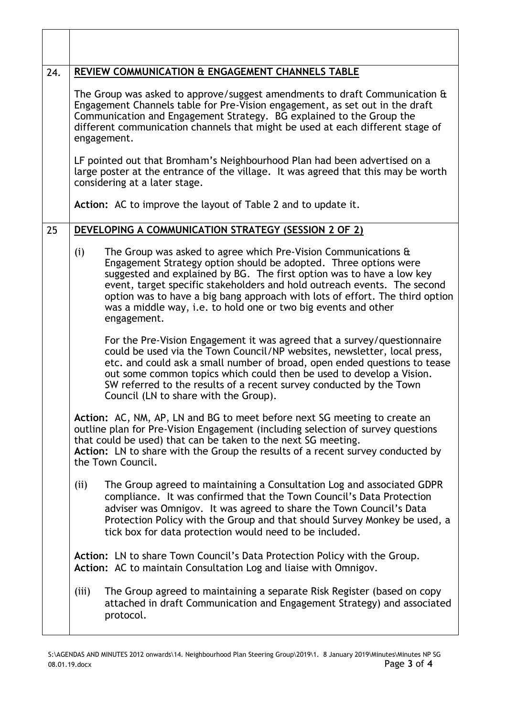| 24. | REVIEW COMMUNICATION & ENGAGEMENT CHANNELS TABLE                                                                                                                                                                                                                                                                                                                                                                                                                |
|-----|-----------------------------------------------------------------------------------------------------------------------------------------------------------------------------------------------------------------------------------------------------------------------------------------------------------------------------------------------------------------------------------------------------------------------------------------------------------------|
|     | The Group was asked to approve/suggest amendments to draft Communication &<br>Engagement Channels table for Pre-Vision engagement, as set out in the draft<br>Communication and Engagement Strategy. BG explained to the Group the<br>different communication channels that might be used at each different stage of<br>engagement.                                                                                                                             |
|     | LF pointed out that Bromham's Neighbourhood Plan had been advertised on a<br>large poster at the entrance of the village. It was agreed that this may be worth<br>considering at a later stage.                                                                                                                                                                                                                                                                 |
|     | Action: AC to improve the layout of Table 2 and to update it.                                                                                                                                                                                                                                                                                                                                                                                                   |
| 25  | DEVELOPING A COMMUNICATION STRATEGY (SESSION 2 OF 2)                                                                                                                                                                                                                                                                                                                                                                                                            |
|     | The Group was asked to agree which Pre-Vision Communications &<br>(i)<br>Engagement Strategy option should be adopted. Three options were<br>suggested and explained by BG. The first option was to have a low key<br>event, target specific stakeholders and hold outreach events. The second<br>option was to have a big bang approach with lots of effort. The third option<br>was a middle way, i.e. to hold one or two big events and other<br>engagement. |
|     | For the Pre-Vision Engagement it was agreed that a survey/questionnaire<br>could be used via the Town Council/NP websites, newsletter, local press,<br>etc. and could ask a small number of broad, open ended questions to tease<br>out some common topics which could then be used to develop a Vision.<br>SW referred to the results of a recent survey conducted by the Town<br>Council (LN to share with the Group).                                        |
|     | Action: AC, NM, AP, LN and BG to meet before next SG meeting to create an<br>outline plan for Pre-Vision Engagement (including selection of survey questions<br>that could be used) that can be taken to the next SG meeting.<br>Action: LN to share with the Group the results of a recent survey conducted by<br>the Town Council.                                                                                                                            |
|     | The Group agreed to maintaining a Consultation Log and associated GDPR<br>(ii)<br>compliance. It was confirmed that the Town Council's Data Protection<br>adviser was Omnigov. It was agreed to share the Town Council's Data<br>Protection Policy with the Group and that should Survey Monkey be used, a<br>tick box for data protection would need to be included.                                                                                           |
|     | Action: LN to share Town Council's Data Protection Policy with the Group.<br>Action: AC to maintain Consultation Log and liaise with Omnigov.                                                                                                                                                                                                                                                                                                                   |
|     | The Group agreed to maintaining a separate Risk Register (based on copy<br>(iii)<br>attached in draft Communication and Engagement Strategy) and associated<br>protocol.                                                                                                                                                                                                                                                                                        |